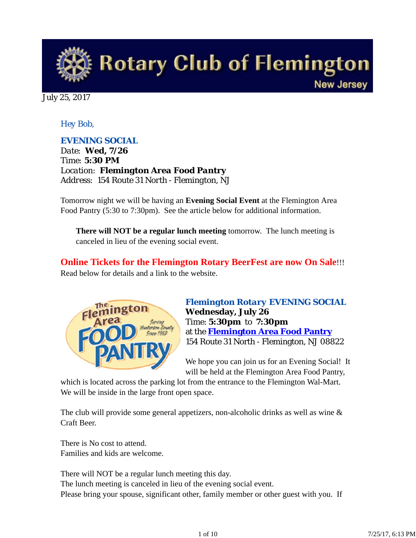

July 25, 2017

## *Hey Bob,*

## *EVENING SOCIAL*

*Date: Wed, 7/26 Time: 5:30 PM Location: Flemington Area Food Pantry Address: 154 Route 31 North - Flemington, NJ*

Tomorrow night we will be having an **Evening Social Event** at the Flemington Area Food Pantry (5:30 to 7:30pm). See the article below for additional information.

**There will NOT be a regular lunch meeting** tomorrow. The lunch meeting is canceled in lieu of the evening social event.

**Online Tickets for the Flemington Rotary BeerFest are now On Sale**!!! Read below for details and a link to the website.



*Flemington Rotary EVENING SOCIAL* **Wednesday, July 26** Time: **5:30pm** to **7:30pm** at the **Flemington Area Food Pantry** 154 Route 31 North - Flemington, NJ 08822

We hope you can join us for an Evening Social! It will be held at the Flemington Area Food Pantry,

which is located across the parking lot from the entrance to the Flemington Wal-Mart. We will be inside in the large front open space.

The club will provide some general appetizers, non-alcoholic drinks as well as wine & Craft Beer.

There is No cost to attend. Families and kids are welcome.

There will NOT be a regular lunch meeting this day. The lunch meeting is canceled in lieu of the evening social event. Please bring your spouse, significant other, family member or other guest with you. If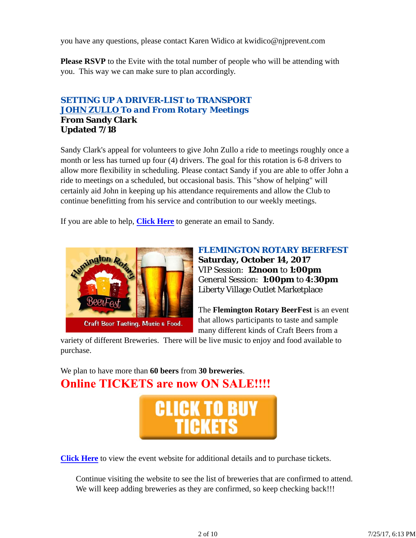you have any questions, please contact Karen Widico at kwidico@njprevent.com

**Please RSVP** to the Evite with the total number of people who will be attending with you. This way we can make sure to plan accordingly.

## *SETTING UP A DRIVER-LIST to TRANSPORT JOHN ZULLO To and From Rotary Meetings* **From Sandy Clark Updated 7/18**

Sandy Clark's appeal for volunteers to give John Zullo a ride to meetings roughly once a month or less has turned up four (4) drivers. The goal for this rotation is 6-8 drivers to allow more flexibility in scheduling. Please contact Sandy if you are able to offer John a ride to meetings on a scheduled, but occasional basis. This "show of helping" will certainly aid John in keeping up his attendance requirements and allow the Club to continue benefitting from his service and contribution to our weekly meetings.

If you are able to help, **Click Here** to generate an email to Sandy.



*FLEMINGTON ROTARY BEERFEST* **Saturday, October 14, 2017** VIP Session: **12noon** to **1:00pm** General Session: **1:00pm** to **4:30pm** Liberty Village Outlet Marketplace

The **Flemington Rotary BeerFest** is an event that allows participants to taste and sample many different kinds of Craft Beers from a

variety of different Breweries. There will be live music to enjoy and food available to purchase.

We plan to have more than **60 beers** from **30 breweries**. **Online TICKETS are now ON SALE!!!!** 



**Click Here** to view the event website for additional details and to purchase tickets.

Continue visiting the website to see the list of breweries that are confirmed to attend. We will keep adding breweries as they are confirmed, so keep checking back!!!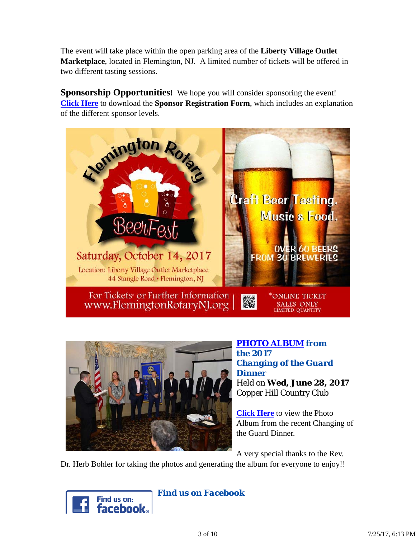The event will take place within the open parking area of the **Liberty Village Outlet Marketplace**, located in Flemington, NJ. A limited number of tickets will be offered in two different tasting sessions.

**Sponsorship Opportunities!** We hope you will consider sponsoring the event! **Click Here** to download the **Sponsor Registration Form**, which includes an explanation of the different sponsor levels.





*PHOTO ALBUM from the 2017 Changing of the Guard Dinner* Held on **Wed, June 28, 2017** Copper Hill Country Club

**Click Here** to view the Photo Album from the recent Changing of the Guard Dinner.

A very special thanks to the Rev.

Dr. Herb Bohler for taking the photos and generating the album for everyone to enjoy!!



*Find us on Facebook*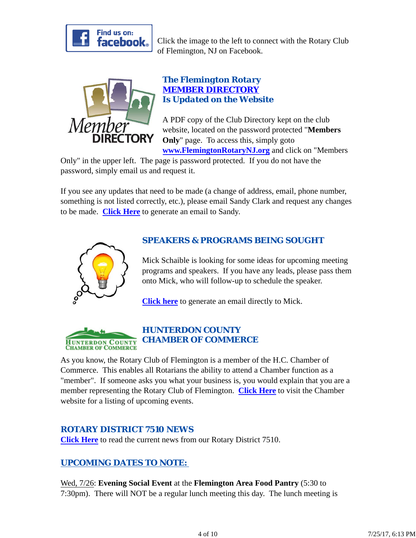

Click the image to the left to connect with the Rotary Club of Flemington, NJ on Facebook.



## *The Flemington Rotary MEMBER DIRECTORY Is Updated on the Website*

A PDF copy of the Club Directory kept on the club website, located on the password protected "**Members Only**" page. To access this, simply goto **www.FlemingtonRotaryNJ.org** and click on "Members

Only" in the upper left. The page is password protected. If you do not have the password, simply email us and request it.

If you see any updates that need to be made (a change of address, email, phone number, something is not listed correctly, etc.), please email Sandy Clark and request any changes to be made. **Click Here** to generate an email to Sandy.



## *SPEAKERS & PROGRAMS BEING SOUGHT*

Mick Schaible is looking for some ideas for upcoming meeting programs and speakers. If you have any leads, please pass them onto Mick, who will follow-up to schedule the speaker.

**Click here** to generate an email directly to Mick.



## *HUNTERDON COUNTY CHAMBER OF COMMERCE*

As you know, the Rotary Club of Flemington is a member of the H.C. Chamber of Commerce. This enables all Rotarians the ability to attend a Chamber function as a "member". If someone asks you what your business is, you would explain that you are a member representing the Rotary Club of Flemington. **Click Here** to visit the Chamber website for a listing of upcoming events.

## *ROTARY DISTRICT 7510 NEWS*

**Click Here** to read the current news from our Rotary District 7510.

## *UPCOMING DATES TO NOTE:*

Wed, 7/26: **Evening Social Event** at the **Flemington Area Food Pantry** (5:30 to 7:30pm). There will NOT be a regular lunch meeting this day. The lunch meeting is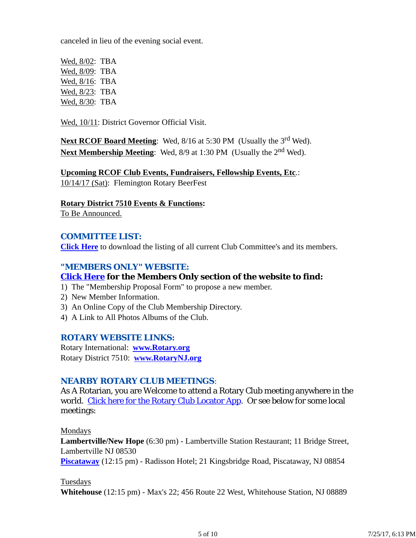canceled in lieu of the evening social event.

Wed, 8/02: TBA Wed, 8/09: TBA Wed, 8/16: TBA Wed, 8/23: TBA Wed, 8/30: TBA

Wed, 10/11: District Governor Official Visit.

Next RCOF Board Meeting: Wed, 8/16 at 5:30 PM (Usually the 3<sup>rd</sup> Wed). **Next Membership Meeting**: Wed, 8/9 at 1:30 PM (Usually the 2nd Wed).

**Upcoming RCOF Club Events, Fundraisers, Fellowship Events, Etc**.: 10/14/17 (Sat): Flemington Rotary BeerFest

**Rotary District 7510 Events & Functions:**

To Be Announced.

#### *COMMITTEE LIST:*

**Click Here** to download the listing of all current Club Committee's and its members.

### *"MEMBERS ONLY" WEBSITE:*

#### **Click Here for the Members Only section of the website to find:**

1) The "Membership Proposal Form" to propose a new member.

- 2) New Member Information.
- 3) An Online Copy of the Club Membership Directory.
- 4) A Link to All Photos Albums of the Club.

#### *ROTARY WEBSITE LINKS:*

Rotary International: **www.Rotary.org** Rotary District 7510: **www.RotaryNJ.org**

#### *NEARBY ROTARY CLUB MEETINGS:*

As A Rotarian, you are Welcome to attend a Rotary Club meeting anywhere in the world. Click here for the Rotary Club Locator App. Or see below for some local meetings:

Mondays

**Lambertville/New Hope** (6:30 pm) - Lambertville Station Restaurant; 11 Bridge Street, Lambertville NJ 08530

**Piscataway** (12:15 pm) - Radisson Hotel; 21 Kingsbridge Road, Piscataway, NJ 08854

Tuesdays

**Whitehouse** (12:15 pm) - Max's 22; 456 Route 22 West, Whitehouse Station, NJ 08889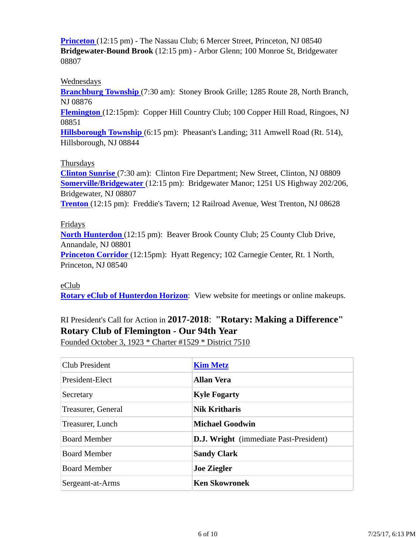**Princeton** (12:15 pm) - The Nassau Club; 6 Mercer Street, Princeton, NJ 08540 **Bridgewater-Bound Brook** (12:15 pm) - Arbor Glenn; 100 Monroe St, Bridgewater 08807

#### Wednesdays

**Branchburg Township** (7:30 am): Stoney Brook Grille; 1285 Route 28, North Branch, NJ 08876

**Flemington** (12:15pm): Copper Hill Country Club; 100 Copper Hill Road, Ringoes, NJ 08851

**Hillsborough Township** (6:15 pm): Pheasant's Landing; 311 Amwell Road (Rt. 514), Hillsborough, NJ 08844

#### Thursdays

**Clinton Sunrise** (7:30 am): Clinton Fire Department; New Street, Clinton, NJ 08809 **Somerville/Bridgewater** (12:15 pm): Bridgewater Manor; 1251 US Highway 202/206, Bridgewater, NJ 08807 **Trenton** (12:15 pm): Freddie's Tavern; 12 Railroad Avenue, West Trenton, NJ 08628

#### Fridays

**North Hunterdon** (12:15 pm): Beaver Brook County Club; 25 County Club Drive, Annandale, NJ 08801 **Princeton Corridor** (12:15pm): Hyatt Regency; 102 Carnegie Center, Rt. 1 North,

Princeton, NJ 08540

#### eClub

**Rotary eClub of Hunterdon Horizon**: View website for meetings or online makeups.

# RI President's Call for Action in **2017-2018**: **"Rotary: Making a Difference" Rotary Club of Flemington - Our 94th Year**

Founded October 3, 1923 \* Charter #1529 \* District 7510

| <b>Club President</b> | <b>Kim Metz</b>                               |
|-----------------------|-----------------------------------------------|
| President-Elect       | <b>Allan Vera</b>                             |
| Secretary             | <b>Kyle Fogarty</b>                           |
| Treasurer, General    | <b>Nik Kritharis</b>                          |
| Treasurer, Lunch      | <b>Michael Goodwin</b>                        |
| <b>Board Member</b>   | <b>D.J. Wright</b> (immediate Past-President) |
| <b>Board Member</b>   | <b>Sandy Clark</b>                            |
| <b>Board Member</b>   | <b>Joe Ziegler</b>                            |
| Sergeant-at-Arms      | <b>Ken Skowronek</b>                          |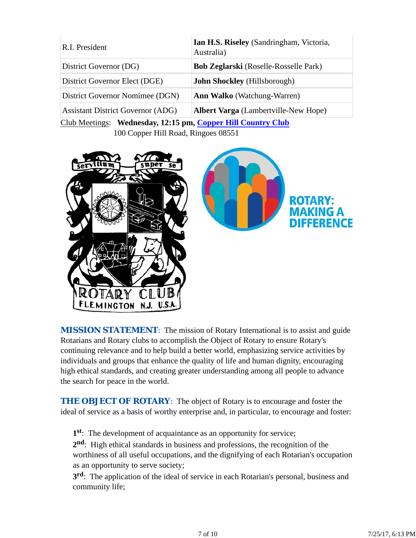| R.I. President                           | Ian H.S. Riseley (Sandringham, Victoria,<br>Australia) |
|------------------------------------------|--------------------------------------------------------|
| District Governor (DG)                   | <b>Bob Zeglarski</b> (Roselle-Rosselle Park)           |
| District Governor Elect (DGE)            | <b>John Shockley</b> (Hillsborough)                    |
| District Governor Nomimee (DGN)          | <b>Ann Walko</b> (Watchung-Warren)                     |
| <b>Assistant District Governor (ADG)</b> | <b>Albert Varga</b> (Lambertville-New Hope)            |
|                                          |                                                        |

Club Meetings: **Wednesday, 12:15 pm, Copper Hill Country Club** 100 Copper Hill Road, Ringoes 08551





**MISSION STATEMENT:** The mission of Rotary International is to assist and guide Rotarians and Rotary clubs to accomplish the Object of Rotary to ensure Rotary's continuing relevance and to help build a better world, emphasizing service activities by individuals and groups that enhance the quality of life and human dignity, encouraging high ethical standards, and creating greater understanding among all people to advance the search for peace in the world.

**THE OBJECT OF ROTARY:** The object of Rotary is to encourage and foster the ideal of service as a basis of worthy enterprise and, in particular, to encourage and foster:

**1st**: The development of acquaintance as an opportunity for service;

**2nd**: High ethical standards in business and professions, the recognition of the worthiness of all useful occupations, and the dignifying of each Rotarian's occupation as an opportunity to serve society;

**3rd**: The application of the ideal of service in each Rotarian's personal, business and community life;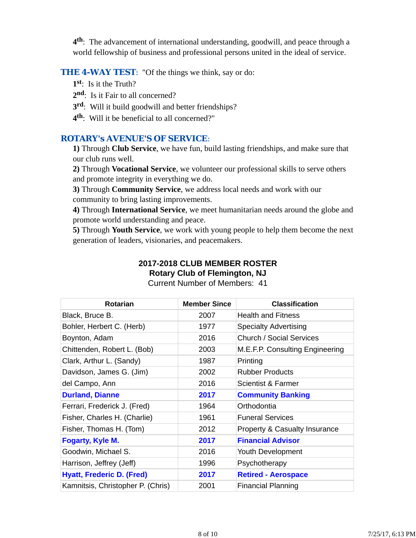**4th**: The advancement of international understanding, goodwill, and peace through a world fellowship of business and professional persons united in the ideal of service.

#### **THE 4-WAY TEST:** "Of the things we think, say or do:

- **1st**: Is it the Truth?
- 2<sup>nd</sup>: Is it Fair to all concerned?
- **3rd**: Will it build goodwill and better friendships?
- **4th**: Will it be beneficial to all concerned?"

#### *ROTARY's AVENUE'S OF SERVICE*:

**1)** Through **Club Service**, we have fun, build lasting friendships, and make sure that our club runs well.

**2)** Through **Vocational Service**, we volunteer our professional skills to serve others and promote integrity in everything we do.

**3)** Through **Community Service**, we address local needs and work with our community to bring lasting improvements.

**4)** Through **International Service**, we meet humanitarian needs around the globe and promote world understanding and peace.

**5)** Through **Youth Service**, we work with young people to help them become the next generation of leaders, visionaries, and peacemakers.

# **2017-2018 CLUB MEMBER ROSTER Rotary Club of Flemington, NJ**

| <b>Rotarian</b>                   | <b>Member Since</b> | <b>Classification</b>                    |
|-----------------------------------|---------------------|------------------------------------------|
| Black, Bruce B.                   | 2007                | <b>Health and Fitness</b>                |
| Bohler, Herbert C. (Herb)         | 1977                | <b>Specialty Advertising</b>             |
| Boynton, Adam                     | 2016                | Church / Social Services                 |
| Chittenden, Robert L. (Bob)       | 2003                | M.E.F.P. Consulting Engineering          |
| Clark, Arthur L. (Sandy)          | 1987                | Printing                                 |
| Davidson, James G. (Jim)          | 2002                | <b>Rubber Products</b>                   |
| del Campo, Ann                    | 2016                | <b>Scientist &amp; Farmer</b>            |
| <b>Durland, Dianne</b>            | 2017                | <b>Community Banking</b>                 |
| Ferrari, Frederick J. (Fred)      | 1964                | Orthodontia                              |
| Fisher, Charles H. (Charlie)      | 1961                | <b>Funeral Services</b>                  |
| Fisher, Thomas H. (Tom)           | 2012                | <b>Property &amp; Casualty Insurance</b> |
| Fogarty, Kyle M.                  | 2017                | <b>Financial Advisor</b>                 |
| Goodwin, Michael S.               | 2016                | Youth Development                        |
| Harrison, Jeffrey (Jeff)          | 1996                | Psychotherapy                            |
| <b>Hyatt, Frederic D. (Fred)</b>  | 2017                | <b>Retired - Aerospace</b>               |
| Kamnitsis, Christopher P. (Chris) | 2001                | <b>Financial Planning</b>                |

Current Number of Members: 41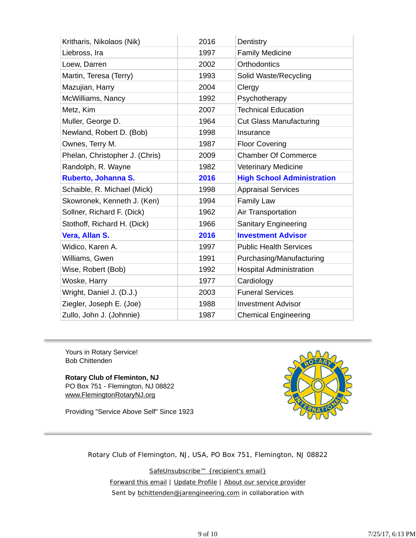| Kritharis, Nikolaos (Nik)      | 2016 | Dentistry                         |
|--------------------------------|------|-----------------------------------|
| Liebross, Ira                  | 1997 | <b>Family Medicine</b>            |
| Loew, Darren                   | 2002 | Orthodontics                      |
| Martin, Teresa (Terry)         | 1993 | Solid Waste/Recycling             |
| Mazujian, Harry                | 2004 | Clergy                            |
| McWilliams, Nancy              | 1992 | Psychotherapy                     |
| Metz, Kim                      | 2007 | <b>Technical Education</b>        |
| Muller, George D.              | 1964 | <b>Cut Glass Manufacturing</b>    |
| Newland, Robert D. (Bob)       | 1998 | Insurance                         |
| Ownes, Terry M.                | 1987 | <b>Floor Covering</b>             |
| Phelan, Christopher J. (Chris) | 2009 | <b>Chamber Of Commerce</b>        |
| Randolph, R. Wayne             | 1982 | <b>Veterinary Medicine</b>        |
| Ruberto, Johanna S.            | 2016 | <b>High School Administration</b> |
| Schaible, R. Michael (Mick)    | 1998 | <b>Appraisal Services</b>         |
| Skowronek, Kenneth J. (Ken)    | 1994 | <b>Family Law</b>                 |
| Sollner, Richard F. (Dick)     | 1962 | Air Transportation                |
| Stothoff, Richard H. (Dick)    | 1966 | <b>Sanitary Engineering</b>       |
| Vera, Allan S.                 | 2016 | <b>Investment Advisor</b>         |
| Widico, Karen A.               | 1997 | <b>Public Health Services</b>     |
| Williams, Gwen                 | 1991 | Purchasing/Manufacturing          |
| Wise, Robert (Bob)             | 1992 | <b>Hospital Administration</b>    |
| Woske, Harry                   | 1977 | Cardiology                        |
| Wright, Daniel J. (D.J.)       | 2003 | <b>Funeral Services</b>           |
| Ziegler, Joseph E. (Joe)       | 1988 | <b>Investment Advisor</b>         |
| Zullo, John J. (Johnnie)       | 1987 | <b>Chemical Engineering</b>       |

Yours in Rotary Service! Bob Chittenden

**Rotary Club of Fleminton, NJ** PO Box 751 - Flemington, NJ 08822 www.FlemingtonRotaryNJ.org

Providing "Service Above Self" Since 1923



Rotary Club of Flemington, NJ, USA, PO Box 751, Flemington, NJ 08822

SafeUnsubscribe™ {recipient's email} Forward this email | Update Profile | About our service provider Sent by bchittenden@jarengineering.com in collaboration with